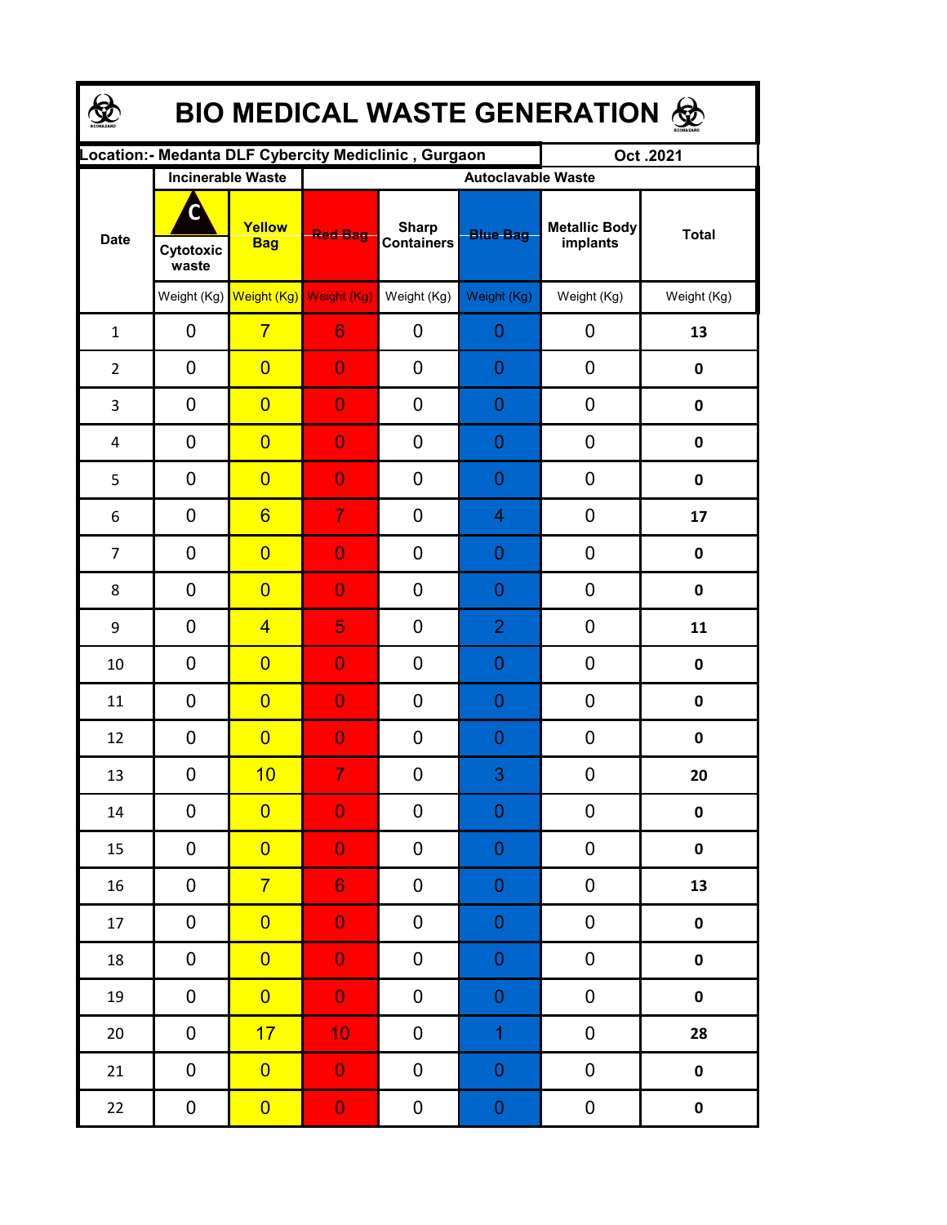| <b>BIO MEDICAL WASTE GENERATION ©</b> |                          |                      |                                                      |                                   |                  |                           |              |  |  |  |
|---------------------------------------|--------------------------|----------------------|------------------------------------------------------|-----------------------------------|------------------|---------------------------|--------------|--|--|--|
|                                       |                          |                      | Location:- Medanta DLF Cybercity Mediclinic, Gurgaon |                                   |                  | Oct.2021                  |              |  |  |  |
|                                       | <b>Incinerable Waste</b> |                      | <b>Autoclavable Waste</b>                            |                                   |                  |                           |              |  |  |  |
| <b>Date</b>                           | C<br>Cytotoxic<br>waste  | Yellow<br><b>Bag</b> | <b>Red Bag</b>                                       | <b>Sharp</b><br><b>Containers</b> | <b>Blue Bag</b>  | Metallic Body<br>implants | <b>Total</b> |  |  |  |
|                                       |                          |                      | Weight (Kg) Weight (Kg) Weight (Kg)                  | Weight (Kg)                       | Weight (Kg)      | Weight (Kg)               | Weight (Kg)  |  |  |  |
| $\mathbf{1}$                          | 0                        | $\overline{7}$       | 6                                                    | 0                                 | 0                | 0                         | 13           |  |  |  |
| $\overline{2}$                        | 0                        | $\overline{0}$       | $\overline{0}$                                       | 0                                 | $\overline{0}$   | 0                         | $\mathbf 0$  |  |  |  |
| 3                                     | 0                        | $\overline{0}$       | $\overline{0}$                                       | 0                                 | $\overline{0}$   | 0                         | $\mathbf 0$  |  |  |  |
| 4                                     | 0                        | $\overline{0}$       | $\overline{0}$                                       | 0                                 | $\overline{0}$   | 0                         | $\mathbf 0$  |  |  |  |
| 5                                     | 0                        | $\overline{0}$       | $\overline{0}$                                       | 0                                 | $\overline{0}$   | 0                         | $\mathbf 0$  |  |  |  |
| 6                                     | 0                        | $6\overline{6}$      | $\overline{7}$                                       | 0                                 | 4                | 0                         | 17           |  |  |  |
| $\overline{7}$                        | 0                        | $\overline{0}$       | $\bf{0}$                                             | 0                                 | $\overline{0}$   | 0                         | $\pmb{0}$    |  |  |  |
| 8                                     | 0                        | $\overline{0}$       | $\overline{0}$                                       | 0                                 | $\overline{0}$   | 0                         | $\mathbf 0$  |  |  |  |
| 9                                     | 0                        | $\overline{4}$       | 5                                                    | 0                                 | $\overline{2}$   | 0                         | 11           |  |  |  |
| 10                                    | 0                        | $\overline{0}$       | $\overline{0}$                                       | 0                                 | 0                | 0                         | 0            |  |  |  |
| 11                                    | 0                        | $\overline{0}$       | $\overline{0}$                                       | 0                                 | $\overline{0}$   | 0                         | $\mathbf 0$  |  |  |  |
| 12                                    | 0                        | $\overline{0}$       | $\overline{0}$                                       | 0                                 | $\overline{0}$   | 0                         | $\mathbf 0$  |  |  |  |
| 13                                    | 0                        | 10                   | 7                                                    | 0                                 | 3                | $\boldsymbol{0}$          | 20           |  |  |  |
| $14\,$                                | 0                        | $\overline{0}$       | $\overline{0}$                                       | 0                                 | $\mathbf 0$      | 0                         | 0            |  |  |  |
| 15                                    | 0                        | $\overline{0}$       | $\overline{0}$                                       | 0                                 | $\boldsymbol{0}$ | 0                         | $\pmb{0}$    |  |  |  |
| 16                                    | $\pmb{0}$                | $\overline{7}$       | 6 <sup>1</sup>                                       | 0                                 | $\mathbf 0$      | 0                         | 13           |  |  |  |
| 17                                    | 0                        | $\overline{0}$       | $\overline{0}$                                       | 0                                 | $\mathbf 0$      | $\pmb{0}$                 | $\pmb{0}$    |  |  |  |
| 18                                    | 0                        | $\overline{0}$       | $\mathbf{0}$                                         | 0                                 | $\mathbf 0$      | 0                         | $\pmb{0}$    |  |  |  |
| 19                                    | 0                        | $\overline{0}$       | $\overline{0}$                                       | 0                                 | $\mathbf 0$      | 0                         | $\pmb{0}$    |  |  |  |
| 20                                    | 0                        | 17                   | 10 <sub>1</sub>                                      | 0                                 | $\overline{1}$   | 0                         | 28           |  |  |  |
| 21                                    | 0                        | $\overline{0}$       | $\overline{0}$                                       | 0                                 | $\mathbf 0$      | $\pmb{0}$                 | $\pmb{0}$    |  |  |  |
| 22                                    | $\boldsymbol{0}$         | $\overline{0}$       | $\mathbf{0}$                                         | $\boldsymbol{0}$                  | $\boldsymbol{0}$ | $\pmb{0}$                 | $\pmb{0}$    |  |  |  |